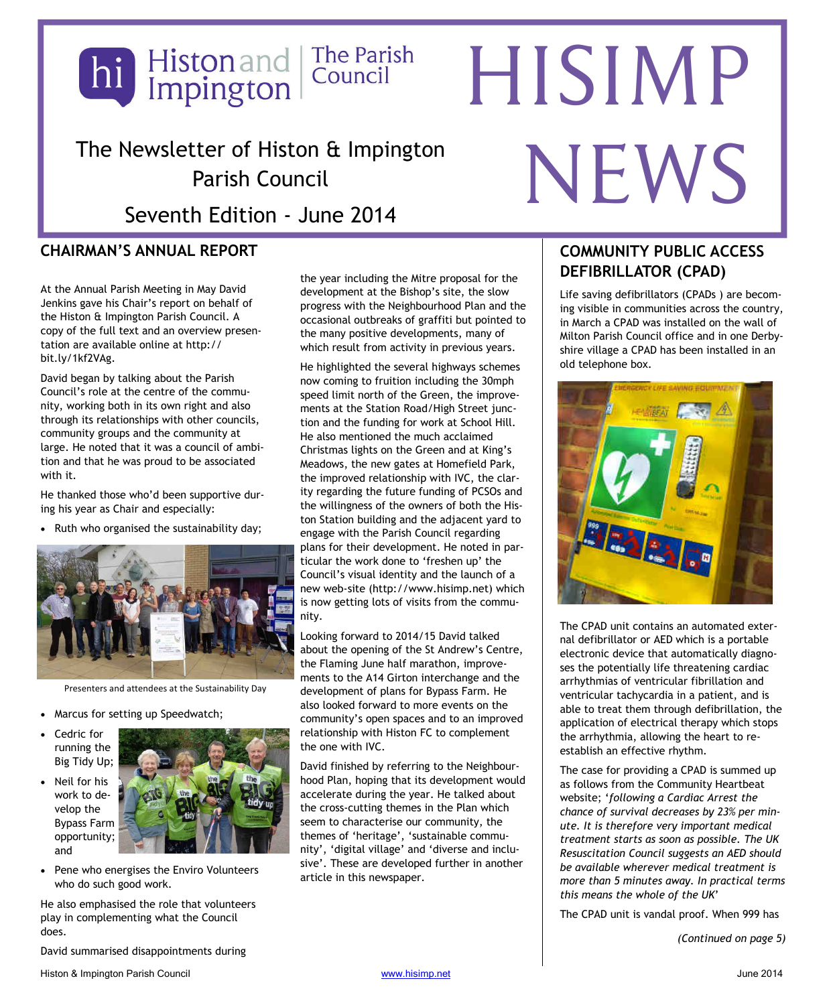

# The Newsletter of Histon & Impington Parish Council

Seventh Edition - June 2014

### **CHAIRMAN'S ANNUAL REPORT**

At the Annual Parish Meeting in May David Jenkins gave his Chair's report on behalf of the Histon & Impington Parish Council. A copy of the full text and an overview presentation are available online at http:// bit.ly/1kf2VAg.

David began by talking about the Parish Council's role at the centre of the community, working both in its own right and also through its relationships with other councils, community groups and the community at large. He noted that it was a council of ambition and that he was proud to be associated with it.

He thanked those who'd been supportive during his year as Chair and especially:

• Ruth who organised the sustainability day;



Presenters and attendees at the Sustainability Day

- Marcus for setting up Speedwatch;
- Cedric for running the Big Tidy Up;
- Neil for his work to develop the Bypass Farm opportunity; and



Pene who energises the Enviro Volunteers who do such good work.

He also emphasised the role that volunteers play in complementing what the Council does.

David summarised disappointments during

the year including the Mitre proposal for the development at the Bishop's site, the slow progress with the Neighbourhood Plan and the occasional outbreaks of graffiti but pointed to the many positive developments, many of which result from activity in previous years.

He highlighted the several highways schemes now coming to fruition including the 30mph speed limit north of the Green, the improvements at the Station Road/High Street junction and the funding for work at School Hill. He also mentioned the much acclaimed Christmas lights on the Green and at King's Meadows, the new gates at Homefield Park, the improved relationship with IVC, the clarity regarding the future funding of PCSOs and the willingness of the owners of both the Histon Station building and the adjacent yard to engage with the Parish Council regarding plans for their development. He noted in particular the work done to 'freshen up' the Council's visual identity and the launch of a new web-site (http://www.hisimp.net) which is now getting lots of visits from the community.

Looking forward to 2014/15 David talked about the opening of the St Andrew's Centre, the Flaming June half marathon, improvements to the A14 Girton interchange and the development of plans for Bypass Farm. He also looked forward to more events on the community's open spaces and to an improved relationship with Histon FC to complement the one with IVC.

David finished by referring to the Neighbourhood Plan, hoping that its development would accelerate during the year. He talked about the cross-cutting themes in the Plan which seem to characterise our community, the themes of 'heritage', 'sustainable community', 'digital village' and 'diverse and inclusive'. These are developed further in another article in this newspaper.

### **COMMUNITY PUBLIC ACCESS DEFIBRILLATOR (CPAD)**

NEWS

Life saving defibrillators (CPADs ) are becoming visible in communities across the country, in March a CPAD was installed on the wall of Milton Parish Council office and in one Derbyshire village a CPAD has been installed in an old telephone box.



The CPAD unit contains an automated external defibrillator or AED which is a portable electronic device that automatically diagnoses the potentially life threatening cardiac arrhythmias of ventricular fibrillation and ventricular tachycardia in a patient, and is able to treat them through defibrillation, the application of electrical therapy which stops the arrhythmia, allowing the heart to reestablish an effective rhythm.

The case for providing a CPAD is summed up as follows from the Community Heartbeat website; '*following a Cardiac Arrest the chance of survival decreases by 23% per minute. It is therefore very important medical treatment starts as soon as possible. The UK Resuscitation Council suggests an AED should be available wherever medical treatment is more than 5 minutes away. In practical terms this means the whole of the UK*'

The CPAD unit is vandal proof. When 999 has

*(Continued on page 5)*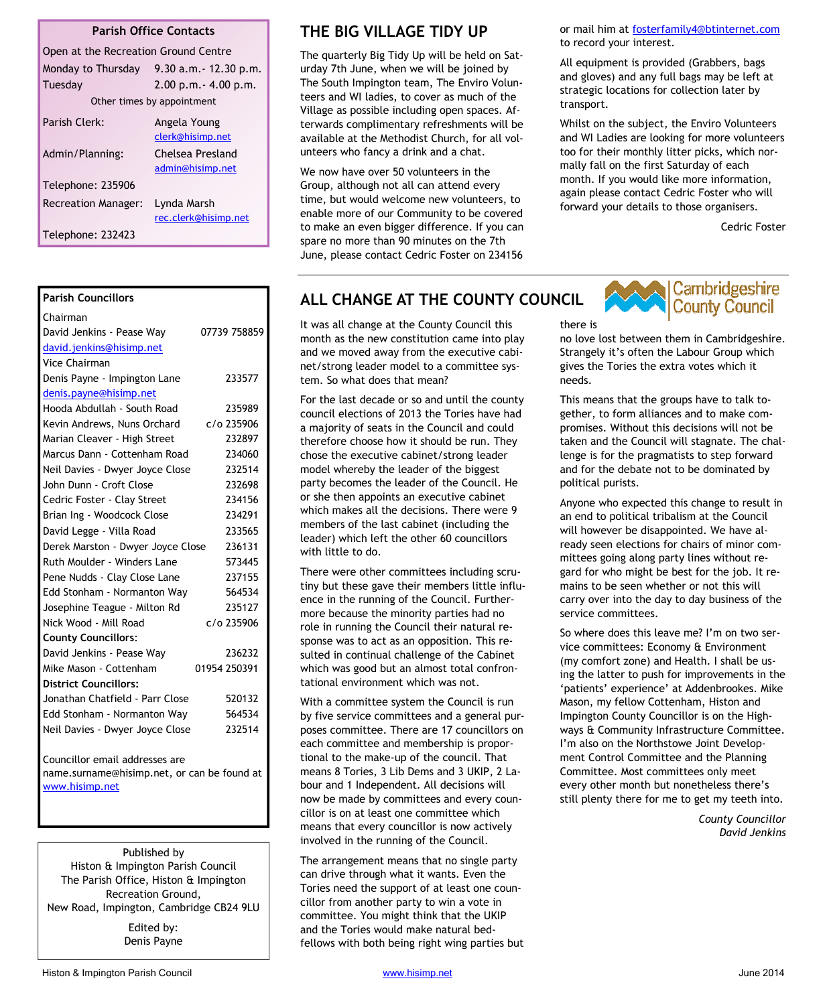#### **Parish Office Contacts**

| Open at the Recreation Ground Centre |                                      |  |
|--------------------------------------|--------------------------------------|--|
| Monday to Thursday                   | $9.30$ a.m. $-12.30$ p.m.            |  |
| Tuesday                              | $2.00$ p.m. $- 4.00$ p.m.            |  |
| Other times by appointment           |                                      |  |
| Parish Clerk:                        | Angela Young<br>clerk@hisimp.net     |  |
| Admin/Planning:                      | Chelsea Presland<br>admin@hisimp.net |  |
| Telephone: 235906                    |                                      |  |
| <b>Recreation Manager:</b>           | Lynda Marsh<br>rec.clerk@hisimp.net  |  |
| Telephone: 232423                    |                                      |  |

| <b>Parish Councillors</b>         |              |
|-----------------------------------|--------------|
| Chairman                          |              |
| David Jenkins - Pease Way         | 07739 758859 |
| david.jenkins@hisimp.net          |              |
| Vice Chairman                     |              |
| Denis Payne - Impington Lane      | 233577       |
| denis.payne@hisimp.net            |              |
| Hooda Abdullah - South Road       | 235989       |
| Kevin Andrews, Nuns Orchard       | c/o 235906   |
| Marian Cleaver - High Street      | 232897       |
| Marcus Dann - Cottenham Road      | 234060       |
| Neil Davies - Dwyer Joyce Close   | 232514       |
| John Dunn - Croft Close           | 232698       |
| Cedric Foster - Clay Street       | 234156       |
| Brian Ing - Woodcock Close        | 234291       |
| David Legge - Villa Road          | 233565       |
| Derek Marston - Dwyer Joyce Close | 236131       |
| Ruth Moulder - Winders Lane       | 573445       |
| Pene Nudds - Clay Close Lane      | 237155       |
| Edd Stonham - Normanton Way       | 564534       |
| Josephine Teague - Milton Rd      | 235127       |
| Nick Wood - Mill Road             | c/o 235906   |
| <b>County Councillors:</b>        |              |
| David Jenkins - Pease Way         | 236232       |
| Mike Mason - Cottenham            | 01954 250391 |
| <b>District Councillors:</b>      |              |
| Jonathan Chatfield - Parr Close   | 520132       |
| Edd Stonham - Normanton Way       | 564534       |
| Neil Davies - Dwyer Joyce Close   | 232514       |
|                                   |              |
| Councillor email addresses are    |              |

name.surname@hisimp.net, or can be found at www.hisimp.net

Published by Histon & Impington Parish Council The Parish Office, Histon & Impington Recreation Ground, New Road, Impington, Cambridge CB24 9LU

> Edited by: Denis Payne

### **THE BIG VILLAGE TIDY UP**

The quarterly Big Tidy Up will be held on Saturday 7th June, when we will be joined by The South Impington team, The Enviro Volunteers and WI ladies, to cover as much of the Village as possible including open spaces. Afterwards complimentary refreshments will be available at the Methodist Church, for all volunteers who fancy a drink and a chat.

We now have over 50 volunteers in the Group, although not all can attend every time, but would welcome new volunteers, to enable more of our Community to be covered to make an even bigger difference. If you can spare no more than 90 minutes on the 7th June, please contact Cedric Foster on 234156

or mail him at fosterfamily4@btinternet.com to record your interest.

All equipment is provided (Grabbers, bags and gloves) and any full bags may be left at strategic locations for collection later by transport.

Whilst on the subject, the Enviro Volunteers and WI Ladies are looking for more volunteers too for their monthly litter picks, which normally fall on the first Saturday of each month. If you would like more information, again please contact Cedric Foster who will forward your details to those organisers.

Cedric Foster

### **ALL CHANGE AT THE COUNTY COUNCIL**

It was all change at the County Council this month as the new constitution came into play and we moved away from the executive cabinet/strong leader model to a committee system. So what does that mean?

For the last decade or so and until the county council elections of 2013 the Tories have had a majority of seats in the Council and could therefore choose how it should be run. They chose the executive cabinet/strong leader model whereby the leader of the biggest party becomes the leader of the Council. He or she then appoints an executive cabinet which makes all the decisions. There were 9 members of the last cabinet (including the leader) which left the other 60 councillors with little to do.

There were other committees including scrutiny but these gave their members little influence in the running of the Council. Furthermore because the minority parties had no role in running the Council their natural response was to act as an opposition. This resulted in continual challenge of the Cabinet which was good but an almost total confrontational environment which was not.

With a committee system the Council is run by five service committees and a general purposes committee. There are 17 councillors on each committee and membership is proportional to the make-up of the council. That means 8 Tories, 3 Lib Dems and 3 UKIP, 2 Labour and 1 Independent. All decisions will now be made by committees and every councillor is on at least one committee which means that every councillor is now actively involved in the running of the Council.

The arrangement means that no single party can drive through what it wants. Even the Tories need the support of at least one councillor from another party to win a vote in committee. You might think that the UKIP and the Tories would make natural bedfellows with both being right wing parties but



there is no love lost between them in Cambridgeshire. Strangely it's often the Labour Group which gives the Tories the extra votes which it needs.

This means that the groups have to talk together, to form alliances and to make compromises. Without this decisions will not be taken and the Council will stagnate. The challenge is for the pragmatists to step forward and for the debate not to be dominated by political purists.

Anyone who expected this change to result in an end to political tribalism at the Council will however be disappointed. We have already seen elections for chairs of minor committees going along party lines without regard for who might be best for the job. It remains to be seen whether or not this will carry over into the day to day business of the service committees.

So where does this leave me? I'm on two service committees: Economy & Environment (my comfort zone) and Health. I shall be using the latter to push for improvements in the 'patients' experience' at Addenbrookes. Mike Mason, my fellow Cottenham, Histon and Impington County Councillor is on the Highways & Community Infrastructure Committee. I'm also on the Northstowe Joint Development Control Committee and the Planning Committee. Most committees only meet every other month but nonetheless there's still plenty there for me to get my teeth into.

> *County Councillor David Jenkins*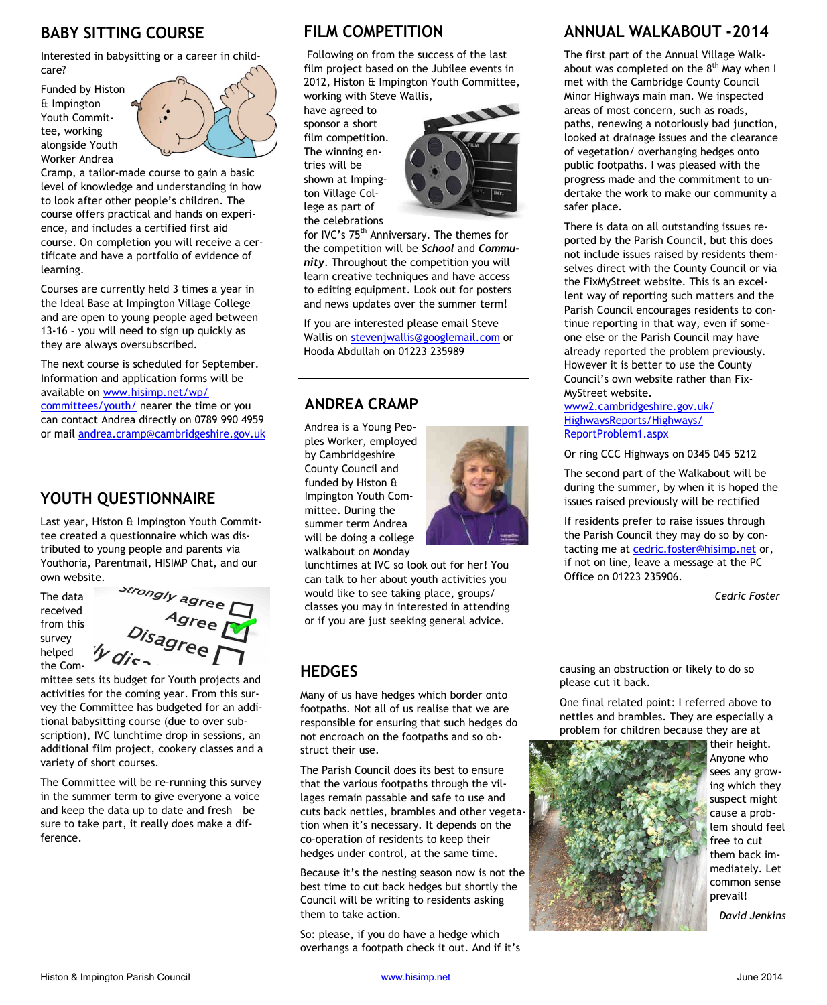### **BABY SITTING COURSE**

Interested in babysitting or a career in childcare?

Funded by Histon & Impington Youth Committee, working alongside Youth Worker Andrea



Cramp, a tailor-made course to gain a basic level of knowledge and understanding in how to look after other people's children. The course offers practical and hands on experience, and includes a certified first aid course. On completion you will receive a certificate and have a portfolio of evidence of learning.

Courses are currently held 3 times a year in the Ideal Base at Impington Village College and are open to young people aged between 13-16 – you will need to sign up quickly as they are always oversubscribed.

The next course is scheduled for September. Information and application forms will be available on www.hisimp.net/wp/ committees/youth/ nearer the time or you can contact Andrea directly on 0789 990 4959 or mail andrea.cramp@cambridgeshire.gov.uk

### **YOUTH QUESTIONNAIRE**

Last year, Histon & Impington Youth Committee created a questionnaire which was distributed to young people and parents via Youthoria, Parentmail, HISIMP Chat, and our own website.

The data received from this survey helped the Com-



mittee sets its budget for Youth projects and activities for the coming year. From this survey the Committee has budgeted for an additional babysitting course (due to over subscription), IVC lunchtime drop in sessions, an additional film project, cookery classes and a variety of short courses.

The Committee will be re-running this survey in the summer term to give everyone a voice and keep the data up to date and fresh – be sure to take part, it really does make a difference.

### **FILM COMPETITION**

 Following on from the success of the last film project based on the Jubilee events in 2012, Histon & Impington Youth Committee, working with Steve Wallis,

have agreed to sponsor a short film competition. The winning entries will be shown at Impington Village College as part of the celebrations



for IVC's 75<sup>th</sup> Anniversary. The themes for the competition will be *School* and *Community*. Throughout the competition you will learn creative techniques and have access to editing equipment. Look out for posters and news updates over the summer term!

If you are interested please email Steve Wallis on stevenjwallis@googlemail.com or Hooda Abdullah on 01223 235989

### **ANDREA CRAMP**

Andrea is a Young Peoples Worker, employed by Cambridgeshire County Council and funded by Histon & Impington Youth Committee. During the summer term Andrea will be doing a college walkabout on Monday



lunchtimes at IVC so look out for her! You can talk to her about youth activities you would like to see taking place, groups/ classes you may in interested in attending or if you are just seeking general advice.

### **HEDGES**

Many of us have hedges which border onto footpaths. Not all of us realise that we are responsible for ensuring that such hedges do not encroach on the footpaths and so obstruct their use.

The Parish Council does its best to ensure that the various footpaths through the villages remain passable and safe to use and cuts back nettles, brambles and other vegetation when it's necessary. It depends on the co-operation of residents to keep their hedges under control, at the same time.

Because it's the nesting season now is not the best time to cut back hedges but shortly the Council will be writing to residents asking them to take action.

So: please, if you do have a hedge which overhangs a footpath check it out. And if it's

### **ANNUAL WALKABOUT -2014**

The first part of the Annual Village Walkabout was completed on the  $8<sup>th</sup>$  May when I met with the Cambridge County Council Minor Highways main man. We inspected areas of most concern, such as roads, paths, renewing a notoriously bad junction, looked at drainage issues and the clearance of vegetation/ overhanging hedges onto public footpaths. I was pleased with the progress made and the commitment to undertake the work to make our community a safer place.

There is data on all outstanding issues reported by the Parish Council, but this does not include issues raised by residents themselves direct with the County Council or via the FixMyStreet website. This is an excellent way of reporting such matters and the Parish Council encourages residents to continue reporting in that way, even if someone else or the Parish Council may have already reported the problem previously. However it is better to use the County Council's own website rather than Fix-MyStreet website.

www2.cambridgeshire.gov.uk/ HighwaysReports/Highways/ ReportProblem1.aspx

Or ring CCC Highways on 0345 045 5212

The second part of the Walkabout will be during the summer, by when it is hoped the issues raised previously will be rectified

If residents prefer to raise issues through the Parish Council they may do so by contacting me at cedric.foster@hisimp.net or, if not on line, leave a message at the PC Office on 01223 235906.

*Cedric Foster* 

causing an obstruction or likely to do so please cut it back.

One final related point: I referred above to nettles and brambles. They are especially a problem for children because they are at



their height. Anyone who sees any growing which they suspect might cause a problem should feel free to cut them back immediately. Let common sense prevail!

*David Jenkins*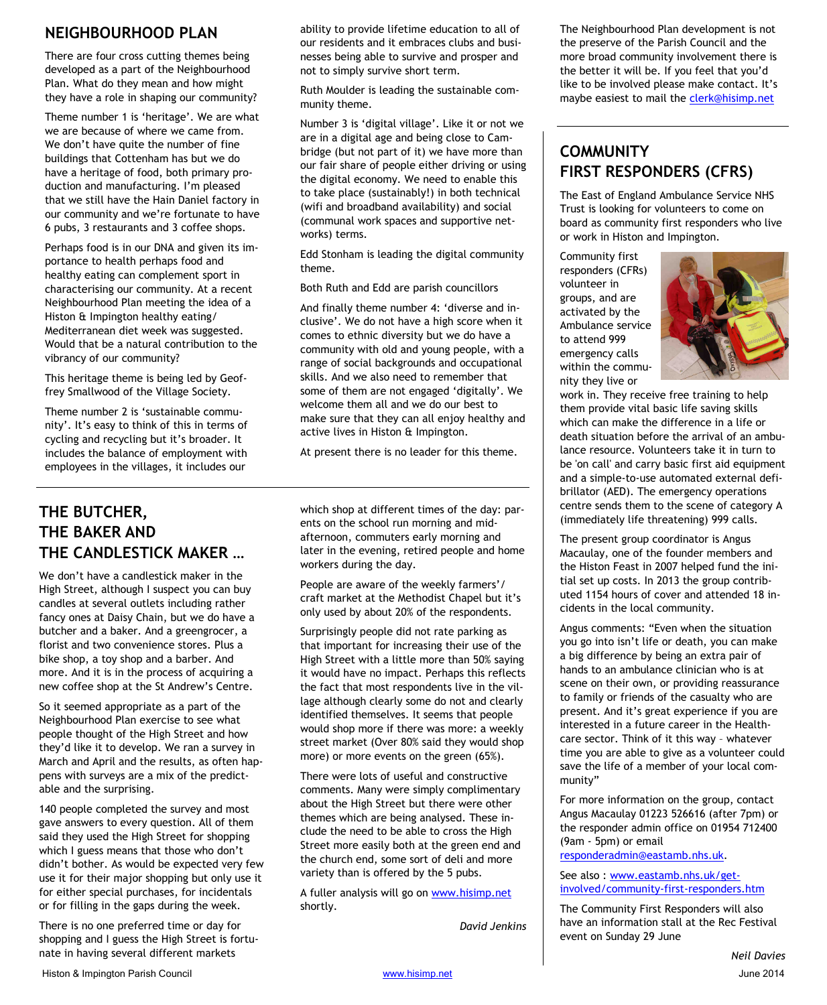### **NEIGHBOURHOOD PLAN**

There are four cross cutting themes being developed as a part of the Neighbourhood Plan. What do they mean and how might they have a role in shaping our community?

Theme number 1 is 'heritage'. We are what we are because of where we came from. We don't have quite the number of fine buildings that Cottenham has but we do have a heritage of food, both primary production and manufacturing. I'm pleased that we still have the Hain Daniel factory in our community and we're fortunate to have 6 pubs, 3 restaurants and 3 coffee shops.

Perhaps food is in our DNA and given its importance to health perhaps food and healthy eating can complement sport in characterising our community. At a recent Neighbourhood Plan meeting the idea of a Histon & Impington healthy eating/ Mediterranean diet week was suggested. Would that be a natural contribution to the vibrancy of our community?

This heritage theme is being led by Geoffrey Smallwood of the Village Society.

Theme number 2 is 'sustainable community'. It's easy to think of this in terms of cycling and recycling but it's broader. It includes the balance of employment with employees in the villages, it includes our

### **THE BUTCHER, THE BAKER AND THE CANDLESTICK MAKER …**

We don't have a candlestick maker in the High Street, although I suspect you can buy candles at several outlets including rather fancy ones at Daisy Chain, but we do have a butcher and a baker. And a greengrocer, a florist and two convenience stores. Plus a bike shop, a toy shop and a barber. And more. And it is in the process of acquiring a new coffee shop at the St Andrew's Centre.

So it seemed appropriate as a part of the Neighbourhood Plan exercise to see what people thought of the High Street and how they'd like it to develop. We ran a survey in March and April and the results, as often happens with surveys are a mix of the predictable and the surprising.

140 people completed the survey and most gave answers to every question. All of them said they used the High Street for shopping which I guess means that those who don't didn't bother. As would be expected very few use it for their major shopping but only use it for either special purchases, for incidentals or for filling in the gaps during the week.

There is no one preferred time or day for shopping and I guess the High Street is fortunate in having several different markets

ability to provide lifetime education to all of our residents and it embraces clubs and businesses being able to survive and prosper and not to simply survive short term.

Ruth Moulder is leading the sustainable community theme.

Number 3 is 'digital village'. Like it or not we are in a digital age and being close to Cambridge (but not part of it) we have more than our fair share of people either driving or using the digital economy. We need to enable this to take place (sustainably!) in both technical (wifi and broadband availability) and social (communal work spaces and supportive networks) terms.

Edd Stonham is leading the digital community theme.

Both Ruth and Edd are parish councillors

And finally theme number 4: 'diverse and inclusive'. We do not have a high score when it comes to ethnic diversity but we do have a community with old and young people, with a range of social backgrounds and occupational skills. And we also need to remember that some of them are not engaged 'digitally'. We welcome them all and we do our best to make sure that they can all enjoy healthy and active lives in Histon & Impington.

At present there is no leader for this theme.

which shop at different times of the day: parents on the school run morning and midafternoon, commuters early morning and later in the evening, retired people and home workers during the day.

People are aware of the weekly farmers'/ craft market at the Methodist Chapel but it's only used by about 20% of the respondents.

Surprisingly people did not rate parking as that important for increasing their use of the High Street with a little more than 50% saying it would have no impact. Perhaps this reflects the fact that most respondents live in the village although clearly some do not and clearly identified themselves. It seems that people would shop more if there was more: a weekly street market (Over 80% said they would shop more) or more events on the green (65%).

There were lots of useful and constructive comments. Many were simply complimentary about the High Street but there were other themes which are being analysed. These include the need to be able to cross the High Street more easily both at the green end and the church end, some sort of deli and more variety than is offered by the 5 pubs.

A fuller analysis will go on www.hisimp.net shortly.

*David Jenkins* 

The Neighbourhood Plan development is not the preserve of the Parish Council and the more broad community involvement there is the better it will be. If you feel that you'd like to be involved please make contact. It's maybe easiest to mail the clerk@hisimp.net

### **COMMUNITY FIRST RESPONDERS (CFRS)**

The East of England Ambulance Service NHS Trust is looking for volunteers to come on board as community first responders who live or work in Histon and Impington.

Community first responders (CFRs) volunteer in groups, and are activated by the Ambulance service to attend 999 emergency calls within the community they live or



work in. They receive free training to help them provide vital basic life saving skills which can make the difference in a life or death situation before the arrival of an ambulance resource. Volunteers take it in turn to be 'on call' and carry basic first aid equipment and a simple-to-use automated external defibrillator (AED). The emergency operations centre sends them to the scene of category A (immediately life threatening) 999 calls.

The present group coordinator is Angus Macaulay, one of the founder members and the Histon Feast in 2007 helped fund the initial set up costs. In 2013 the group contributed 1154 hours of cover and attended 18 incidents in the local community.

Angus comments: "Even when the situation you go into isn't life or death, you can make a big difference by being an extra pair of hands to an ambulance clinician who is at scene on their own, or providing reassurance to family or friends of the casualty who are present. And it's great experience if you are interested in a future career in the Healthcare sector. Think of it this way – whatever time you are able to give as a volunteer could save the life of a member of your local community"

For more information on the group, contact Angus Macaulay 01223 526616 (after 7pm) or the responder admin office on 01954 712400 (9am - 5pm) or email

responderadmin@eastamb.nhs.uk.

#### See also : www.eastamb.nhs.uk/getinvolved/community-first-responders.htm

The Community First Responders will also have an information stall at the Rec Festival event on Sunday 29 June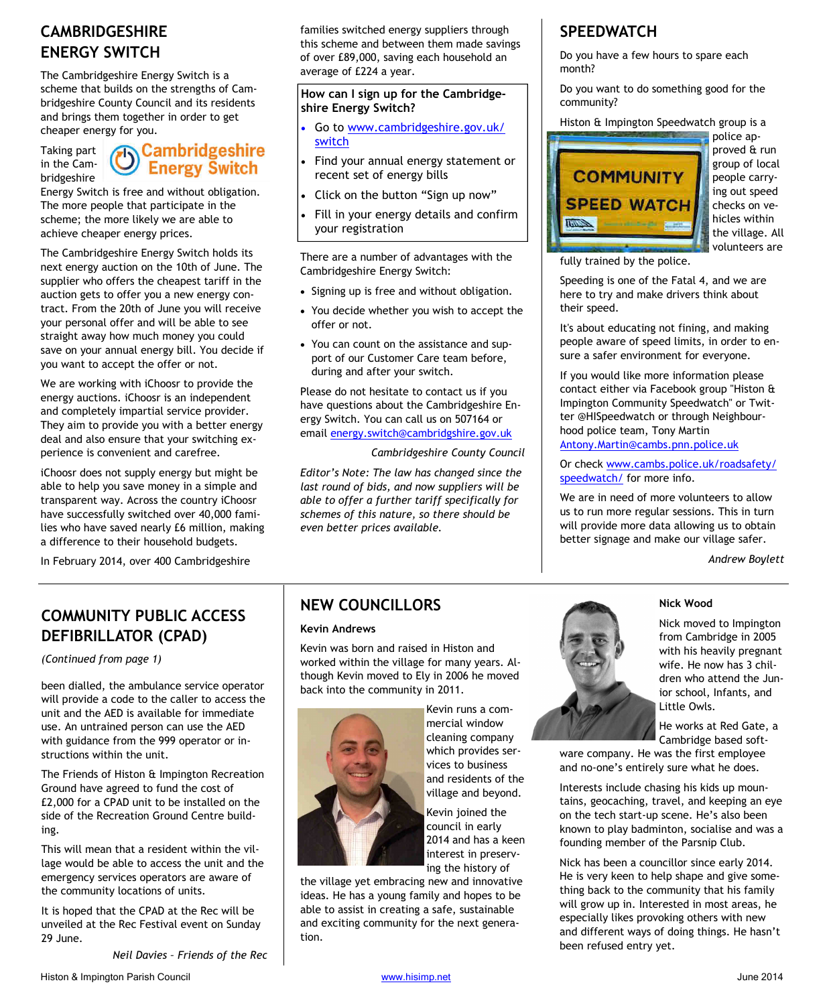### **CAMBRIDGESHIRE ENERGY SWITCH**

The Cambridgeshire Energy Switch is a scheme that builds on the strengths of Cambridgeshire County Council and its residents and brings them together in order to get

Taking part in the Cambridgeshire

## Taking part **(b)** Cambridgeshire in the Cam-**Energy Switch**

Energy Switch is free and without obligation. The more people that participate in the scheme; the more likely we are able to achieve cheaper energy prices.

The Cambridgeshire Energy Switch holds its next energy auction on the 10th of June. The supplier who offers the cheapest tariff in the auction gets to offer you a new energy contract. From the 20th of June you will receive your personal offer and will be able to see straight away how much money you could save on your annual energy bill. You decide if you want to accept the offer or not.

We are working with iChoosr to provide the energy auctions. iChoosr is an independent and completely impartial service provider. They aim to provide you with a better energy deal and also ensure that your switching experience is convenient and carefree.

iChoosr does not supply energy but might be able to help you save money in a simple and transparent way. Across the country iChoosr have successfully switched over 40,000 families who have saved nearly £6 million, making a difference to their household budgets.

In February 2014, over 400 Cambridgeshire

families switched energy suppliers through this scheme and between them made savings of over £89,000, saving each household an average of £224 a year.

#### **How can I sign up for the Cambridgeshire Energy Switch?**

- Go to www.cambridgeshire.gov.uk/ switch
- Find your annual energy statement or recent set of energy bills
- Click on the button "Sign up now"
- Fill in your energy details and confirm your registration

There are a number of advantages with the Cambridgeshire Energy Switch:

- Signing up is free and without obligation.
- You decide whether you wish to accept the offer or not.
- You can count on the assistance and support of our Customer Care team before, during and after your switch.

Please do not hesitate to contact us if you have questions about the Cambridgeshire Energy Switch. You can call us on 507164 or email energy.switch@cambridgshire.gov.uk

*Cambridgeshire County Council* 

*Editor's Note: The law has changed since the last round of bids, and now suppliers will be able to offer a further tariff specifically for schemes of this nature, so there should be even better prices available.* 

### **SPEEDWATCH**

Do you have a few hours to spare each month?

Do you want to do something good for the community?

Histon & Impington Speedwatch group is a



police approved & run group of local people carrying out speed checks on vehicles within the village. All volunteers are

fully trained by the police.

Speeding is one of the Fatal 4, and we are here to try and make drivers think about their speed.

It's about educating not fining, and making people aware of speed limits, in order to ensure a safer environment for everyone.

If you would like more information please contact either via Facebook group "Histon & Impington Community Speedwatch" or Twitter @HISpeedwatch or through Neighbourhood police team, Tony Martin Antony.Martin@cambs.pnn.police.uk

Or check www.cambs.police.uk/roadsafety/ speedwatch/ for more info.

We are in need of more volunteers to allow us to run more regular sessions. This in turn will provide more data allowing us to obtain better signage and make our village safer.

*Andrew Boylett* 

### **COMMUNITY PUBLIC ACCESS DEFIBRILLATOR (CPAD)**

*(Continued from page 1)* 

been dialled, the ambulance service operator will provide a code to the caller to access the unit and the AED is available for immediate use. An untrained person can use the AED with guidance from the 999 operator or instructions within the unit.

The Friends of Histon & Impington Recreation Ground have agreed to fund the cost of £2,000 for a CPAD unit to be installed on the side of the Recreation Ground Centre building.

This will mean that a resident within the village would be able to access the unit and the emergency services operators are aware of the community locations of units.

It is hoped that the CPAD at the Rec will be unveiled at the Rec Festival event on Sunday 29 June.

*Neil Davies – Friends of the Rec* 

### **NEW COUNCILLORS**

#### **Kevin Andrews**

Kevin was born and raised in Histon and worked within the village for many years. Although Kevin moved to Ely in 2006 he moved back into the community in 2011.



Kevin runs a commercial window cleaning company which provides services to business and residents of the village and beyond.

Kevin joined the council in early 2014 and has a keen interest in preserving the history of

the village yet embracing new and innovative ideas. He has a young family and hopes to be able to assist in creating a safe, sustainable and exciting community for the next generation.



**Nick Wood** 

Nick moved to Impington from Cambridge in 2005 with his heavily pregnant wife. He now has 3 children who attend the Junior school, Infants, and Little Owls.

He works at Red Gate, a Cambridge based soft-

ware company. He was the first employee and no-one's entirely sure what he does.

Interests include chasing his kids up mountains, geocaching, travel, and keeping an eye on the tech start-up scene. He's also been known to play badminton, socialise and was a founding member of the Parsnip Club.

Nick has been a councillor since early 2014. He is very keen to help shape and give something back to the community that his family will grow up in. Interested in most areas, he especially likes provoking others with new and different ways of doing things. He hasn't been refused entry yet.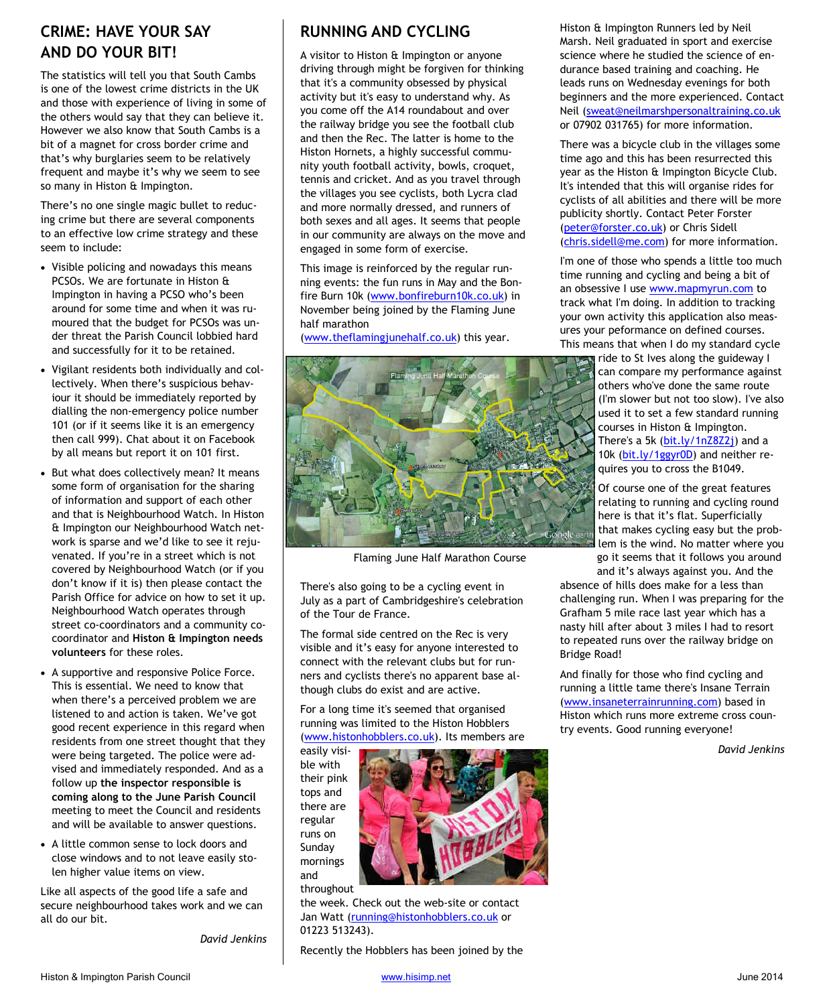### **CRIME: HAVE YOUR SAY AND DO YOUR BIT!**

The statistics will tell you that South Cambs is one of the lowest crime districts in the UK and those with experience of living in some of the others would say that they can believe it. However we also know that South Cambs is a bit of a magnet for cross border crime and that's why burglaries seem to be relatively frequent and maybe it's why we seem to see so many in Histon & Impington.

There's no one single magic bullet to reducing crime but there are several components to an effective low crime strategy and these seem to include:

- Visible policing and nowadays this means PCSOs. We are fortunate in Histon & Impington in having a PCSO who's been around for some time and when it was rumoured that the budget for PCSOs was under threat the Parish Council lobbied hard and successfully for it to be retained.
- Vigilant residents both individually and collectively. When there's suspicious behaviour it should be immediately reported by dialling the non-emergency police number 101 (or if it seems like it is an emergency then call 999). Chat about it on Facebook by all means but report it on 101 first.
- But what does collectively mean? It means some form of organisation for the sharing of information and support of each other and that is Neighbourhood Watch. In Histon & Impington our Neighbourhood Watch network is sparse and we'd like to see it rejuvenated. If you're in a street which is not covered by Neighbourhood Watch (or if you don't know if it is) then please contact the Parish Office for advice on how to set it up. Neighbourhood Watch operates through street co-coordinators and a community cocoordinator and **Histon & Impington needs volunteers** for these roles.
- A supportive and responsive Police Force. This is essential. We need to know that when there's a perceived problem we are listened to and action is taken. We've got good recent experience in this regard when residents from one street thought that they were being targeted. The police were advised and immediately responded. And as a follow up **the inspector responsible is coming along to the June Parish Council** meeting to meet the Council and residents and will be available to answer questions.
- A little common sense to lock doors and close windows and to not leave easily stolen higher value items on view.

Like all aspects of the good life a safe and secure neighbourhood takes work and we can all do our bit.

*David Jenkins* 

### **RUNNING AND CYCLING**

A visitor to Histon & Impington or anyone driving through might be forgiven for thinking that it's a community obsessed by physical activity but it's easy to understand why. As you come off the A14 roundabout and over the railway bridge you see the football club and then the Rec. The latter is home to the Histon Hornets, a highly successful community youth football activity, bowls, croquet, tennis and cricket. And as you travel through the villages you see cyclists, both Lycra clad and more normally dressed, and runners of both sexes and all ages. It seems that people in our community are always on the move and engaged in some form of exercise.

This image is reinforced by the regular running events: the fun runs in May and the Bonfire Burn 10k (www.bonfireburn10k.co.uk) in November being joined by the Flaming June half marathon

(www.theflamingjunehalf.co.uk) this year.



Flaming June Half Marathon Course

There's also going to be a cycling event in July as a part of Cambridgeshire's celebration of the Tour de France.

The formal side centred on the Rec is very visible and it's easy for anyone interested to connect with the relevant clubs but for runners and cyclists there's no apparent base although clubs do exist and are active.

For a long time it's seemed that organised running was limited to the Histon Hobblers (www.histonhobblers.co.uk). Its members are

easily visible with their pink tops and there are regular runs on Sunday mornings and

throughout

the week. Check out the web-site or contact Jan Watt (running@histonhobblers.co.uk or 01223 513243).

Recently the Hobblers has been joined by the

Histon & Impington Runners led by Neil Marsh. Neil graduated in sport and exercise science where he studied the science of endurance based training and coaching. He leads runs on Wednesday evenings for both beginners and the more experienced. Contact Neil (sweat@neilmarshpersonaltraining.co.uk or 07902 031765) for more information.

There was a bicycle club in the villages some time ago and this has been resurrected this year as the Histon & Impington Bicycle Club. It's intended that this will organise rides for cyclists of all abilities and there will be more publicity shortly. Contact Peter Forster (peter@forster.co.uk) or Chris Sidell (chris.sidell@me.com) for more information.

I'm one of those who spends a little too much time running and cycling and being a bit of an obsessive I use www.mapmyrun.com to track what I'm doing. In addition to tracking your own activity this application also measures your peformance on defined courses. This means that when I do my standard cycle

> ride to St Ives along the guideway I can compare my performance against others who've done the same route (I'm slower but not too slow). I've also used it to set a few standard running courses in Histon & Impington. There's a 5k (bit.ly/1nZ8Z2j) and a 10k (bit.ly/1ggyr0D) and neither requires you to cross the B1049.

Of course one of the great features relating to running and cycling round here is that it's flat. Superficially that makes cycling easy but the problem is the wind. No matter where you go it seems that it follows you around

and it's always against you. And the

absence of hills does make for a less than challenging run. When I was preparing for the Grafham 5 mile race last year which has a nasty hill after about 3 miles I had to resort to repeated runs over the railway bridge on Bridge Road!

And finally for those who find cycling and running a little tame there's Insane Terrain (www.insaneterrainrunning.com) based in Histon which runs more extreme cross country events. Good running everyone!

*David Jenkins*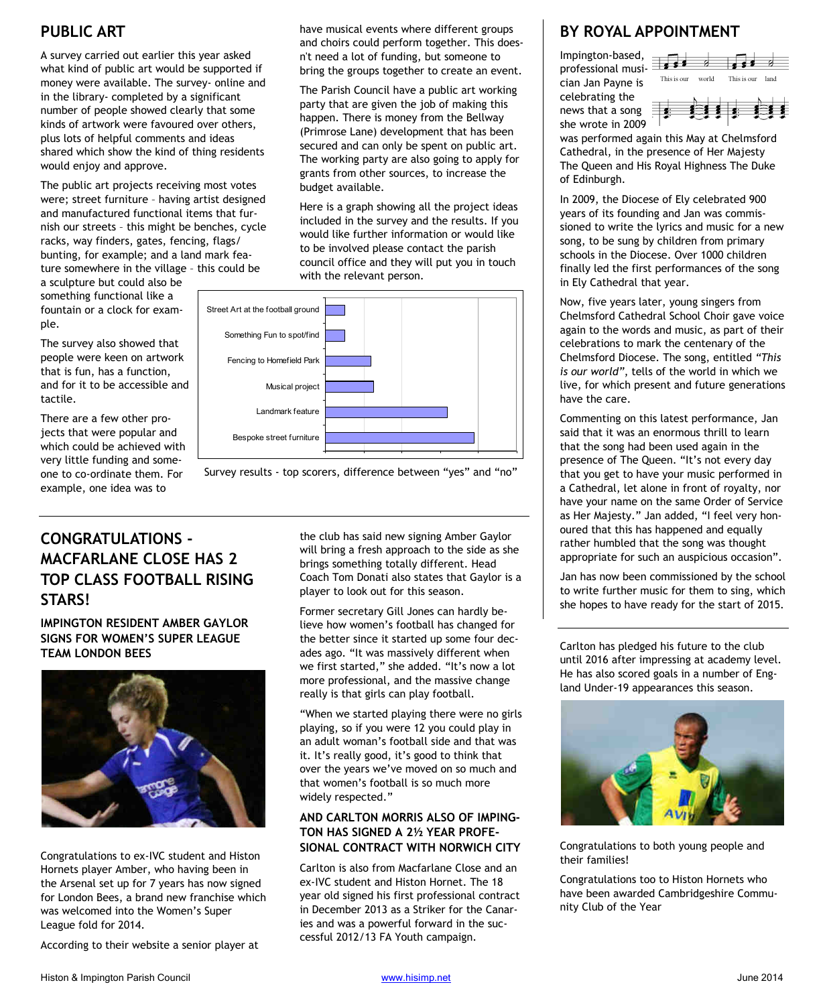A survey carried out earlier this year asked what kind of public art would be supported if money were available. The survey- online and in the library- completed by a significant number of people showed clearly that some kinds of artwork were favoured over others, plus lots of helpful comments and ideas shared which show the kind of thing residents would enjoy and approve.

The public art projects receiving most votes were; street furniture – having artist designed and manufactured functional items that furnish our streets – this might be benches, cycle racks, way finders, gates, fencing, flags/ bunting, for example; and a land mark feature somewhere in the village – this could be

a sculpture but could also be something functional like a fountain or a clock for example.

The survey also showed that people were keen on artwork that is fun, has a function, and for it to be accessible and tactile.

There are a few other projects that were popular and which could be achieved with very little funding and someone to co-ordinate them. For example, one idea was to

**PUBLIC ART have musical events where different groups** have musical events where different groups and choirs could perform together. This doesn't need a lot of funding, but someone to bring the groups together to create an event.

> The Parish Council have a public art working party that are given the job of making this happen. There is money from the Bellway (Primrose Lane) development that has been secured and can only be spent on public art. The working party are also going to apply for grants from other sources, to increase the budget available.

> Here is a graph showing all the project ideas included in the survey and the results. If you would like further information or would like to be involved please contact the parish council office and they will put you in touch with the relevant person.





### **CONGRATULATIONS - MACFARLANE CLOSE HAS 2 TOP CLASS FOOTBALL RISING STARS!**

**IMPINGTON RESIDENT AMBER GAYLOR SIGNS FOR WOMEN'S SUPER LEAGUE TEAM LONDON BEES** 



Congratulations to ex-IVC student and Histon Hornets player Amber, who having been in the Arsenal set up for 7 years has now signed for London Bees, a brand new franchise which was welcomed into the Women's Super League fold for 2014.

According to their website a senior player at

the club has said new signing Amber Gaylor will bring a fresh approach to the side as she brings something totally different. Head Coach Tom Donati also states that Gaylor is a player to look out for this season.

Former secretary Gill Jones can hardly believe how women's football has changed for the better since it started up some four decades ago. "It was massively different when we first started," she added. "It's now a lot more professional, and the massive change really is that girls can play football.

"When we started playing there were no girls playing, so if you were 12 you could play in an adult woman's football side and that was it. It's really good, it's good to think that over the years we've moved on so much and that women's football is so much more widely respected."

### **AND CARLTON MORRIS ALSO OF IMPING-TON HAS SIGNED A 2½ YEAR PROFE-SIONAL CONTRACT WITH NORWICH CITY**

Carlton is also from Macfarlane Close and an ex-IVC student and Histon Hornet. The 18 year old signed his first professional contract in December 2013 as a Striker for the Canaries and was a powerful forward in the successful 2012/13 FA Youth campaign.

## **BY ROYAL APPOINTMENT**

Impington-based, professional musician Jan Payne is celebrating the news that a song  $\equiv$ she wrote in 2009



was performed again this May at Chelmsford Cathedral, in the presence of Her Majesty The Queen and His Royal Highness The Duke of Edinburgh.

In 2009, the Diocese of Ely celebrated 900 years of its founding and Jan was commissioned to write the lyrics and music for a new song, to be sung by children from primary schools in the Diocese. Over 1000 children finally led the first performances of the song in Ely Cathedral that year.

Now, five years later, young singers from Chelmsford Cathedral School Choir gave voice again to the words and music, as part of their celebrations to mark the centenary of the Chelmsford Diocese. The song, entitled *"This is our world"*, tells of the world in which we live, for which present and future generations have the care.

Commenting on this latest performance, Jan said that it was an enormous thrill to learn that the song had been used again in the presence of The Queen. "It's not every day that you get to have your music performed in a Cathedral, let alone in front of royalty, nor have your name on the same Order of Service as Her Majesty." Jan added, "I feel very honoured that this has happened and equally rather humbled that the song was thought appropriate for such an auspicious occasion".

Jan has now been commissioned by the school to write further music for them to sing, which she hopes to have ready for the start of 2015.

Carlton has pledged his future to the club until 2016 after impressing at academy level. He has also scored goals in a number of England Under-19 appearances this season.



Congratulations to both young people and their families!

Congratulations too to Histon Hornets who have been awarded Cambridgeshire Community Club of the Year